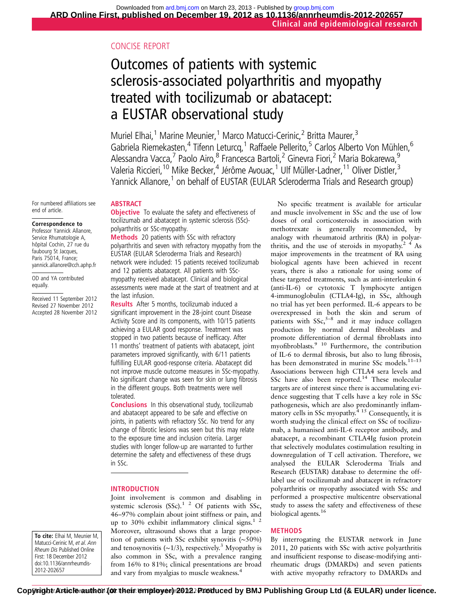# CONCISE REPORT

# Outcomes of patients with systemic sclerosis-associated polyarthritis and myopathy treated with tocilizumab or abatacept: a EUSTAR observational study

Muriel Elhai,<sup>1</sup> Marine Meunier,<sup>1</sup> Marco Matucci-Cerinic,<sup>2</sup> Britta Maurer,<sup>3</sup> Gabriela Riemekasten,<sup>4</sup> Tifenn Leturcq,<sup>1</sup> Raffaele Pellerito,<sup>5</sup> Carlos Alberto Von Mühlen,<sup>6</sup> Alessandra Vacca,<sup>7</sup> Paolo Airo,<sup>8</sup> Francesca Bartoli,<sup>2</sup> Ginevra Fiori,<sup>2</sup> Maria Bokarewa,<sup>9</sup> Valeria Riccieri,<sup>10</sup> Mike Becker,<sup>4</sup> Jérôme Avouac,<sup>1</sup> Ulf Müller-Ladner,<sup>11</sup> Oliver Distler,<sup>3</sup> Yannick Allanore,<sup>1</sup> on behalf of EUSTAR (EULAR Scleroderma Trials and Research group)

For numbered affiliations see end of article.

#### Correspondence to

Professor Yannick Allanore, Service Rhumatologie A, hôpital Cochin, 27 rue du faubourg St Jacques, Paris 75014, France; yannick.allanore@cch.aphp.fr

OD and YA contributed equally.

Received 11 September 2012 Revised 27 November 2012 Accepted 28 November 2012

#### **ABSTRACT**

**Objective** To evaluate the safety and effectiveness of tocilizumab and abatacept in systemic sclerosis (SSc) polyarthritis or SSc-myopathy.

Methods 20 patients with SSc with refractory polyarthritis and seven with refractory myopathy from the EUSTAR (EULAR Scleroderma Trials and Research) network were included: 15 patients received tocilizumab and 12 patients abatacept. All patients with SScmyopathy received abatacept. Clinical and biological assessments were made at the start of treatment and at the last infusion.

Results After 5 months, tocilizumab induced a significant improvement in the 28-joint count Disease Activity Score and its components, with 10/15 patients achieving a EULAR good response. Treatment was stopped in two patients because of inefficacy. After 11 months' treatment of patients with abatacept, joint parameters improved significantly, with 6/11 patients fulfilling EULAR good-response criteria. Abatacept did not improve muscle outcome measures in SSc-myopathy. No significant change was seen for skin or lung fibrosis in the different groups. Both treatments were well tolerated.

Conclusions In this observational study, tocilizumab and abatacept appeared to be safe and effective on joints, in patients with refractory SSc. No trend for any change of fibrotic lesions was seen but this may relate to the exposure time and inclusion criteria. Larger studies with longer follow-up are warranted to further determine the safety and effectiveness of these drugs in SSc.

#### INTRODUCTION

Joint involvement is common and disabling in systemic sclerosis  $(SSc)$ .<sup>1</sup> <sup>2</sup> Of patients with SSc, 46–97% complain about joint stiffness or pain, and up to 30% exhibit inflammatory clinical signs. $12$ Moreover, ultrasound shows that a large proportion of patients with SSc exhibit synovitis (∼50%) and tenosynovitis ( $∼1/3$ ), respectively.<sup>3</sup> Myopathy is also common in SSc, with a prevalence ranging from 16% to 81%; clinical presentations are broad and vary from myalgias to muscle weakness.<sup>4</sup>

No specific treatment is available for articular and muscle involvement in SSc and the use of low doses of oral corticosteroids in association with methotrexate is generally recommended, by analogy with rheumatoid arthritis (RA) in polyarthritis, and the use of steroids in myopathy.<sup>2 4</sup> As major improvements in the treatment of RA using biological agents have been achieved in recent years, there is also a rationale for using some of these targeted treatments, such as anti-interleukin 6 (anti-IL-6) or cytotoxic T lymphocyte antigen 4-immunoglobulin (CTLA4-Ig), in SSc, although no trial has yet been performed. IL-6 appears to be overexpressed in both the skin and serum of patients with  $SSc$ ,<sup>5–8</sup> and it may induce collagen production by normal dermal fibroblasts and promote differentiation of dermal fibroblasts into myofibroblasts.9 10 Furthermore, the contribution of IL-6 to dermal fibrosis, but also to lung fibrosis, has been demonstrated in murine SSc models.<sup>11-13</sup> Associations between high CTLA4 sera levels and SSc have also been reported.<sup>14</sup> These molecular targets are of interest since there is accumulating evidence suggesting that T cells have a key role in SSc pathogenesis, which are also predominantly inflampathogenesis, which are also predominantly inflamentary cells in SSc myopathy.<sup>4</sup> <sup>15</sup> Consequently, it is worth studying the clinical effect on SSc of tocilizumab, a humanised anti-IL-6 receptor antibody, and abatacept, a recombinant CTLA4Ig fusion protein that selectively modulates costimulation resulting in downregulation of T cell activation. Therefore, we analysed the EULAR Scleroderma Trials and Research (EUSTAR) database to determine the offlabel use of tocilizumab and abatacept in refractory polyarthritis or myopathy associated with SSc and performed a prospective multicentre observational study to assess the safety and effectiveness of these biological agents.<sup>16</sup>

#### METHODS

By interrogating the EUSTAR network in June 2011, 20 patients with SSc with active polyarthritis and insufficient response to disease-modifying antirheumatic drugs (DMARDs) and seven patients with active myopathy refractory to DMARDs and

To cite: Elhai M, Meunier M, Matucci-Cerinic M, et al. Ann Rheum Dis Published Online First: 18 December 2012 doi:10.1136/annrheumdis-2012-202657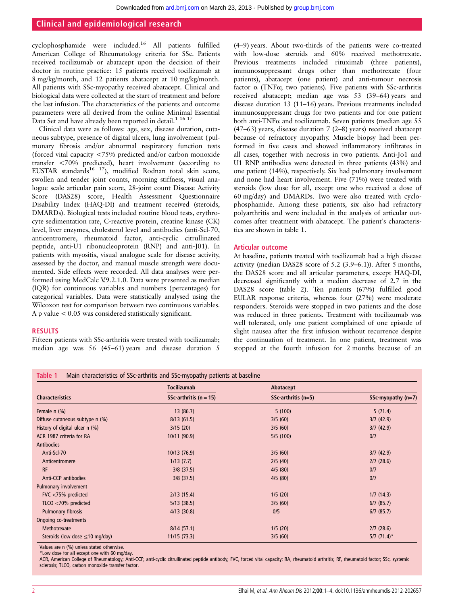### Clinical and epidemiological research

cyclophosphamide were included.<sup>16</sup> All patients fulfilled American College of Rheumatology criteria for SSc. Patients received tocilizumab or abatacept upon the decision of their doctor in routine practice: 15 patients received tocilizumab at 8 mg/kg/month, and 12 patients abatacept at 10 mg/kg/month. All patients with SSc-myopathy received abatacept. Clinical and biological data were collected at the start of treatment and before the last infusion. The characteristics of the patients and outcome parameters were all derived from the online Minimal Essential Data Set and have already been reported in detail.<sup>1 16 17</sup>

Clinical data were as follows: age, sex, disease duration, cutaneous subtype, presence of digital ulcers, lung involvement (pulmonary fibrosis and/or abnormal respiratory function tests (forced vital capacity <75% predicted and/or carbon monoxide transfer <70% predicted), heart involvement (according to EUSTAR standards<sup>16 17</sup>), modified Rodnan total skin score, swollen and tender joint counts, morning stiffness, visual analogue scale articular pain score, 28-joint count Disease Activity Score (DAS28) score, Health Assessment Questionnaire Disability Index (HAQ-DI) and treatment received (steroids, DMARDs). Biological tests included routine blood tests, erythrocyte sedimentation rate, C-reactive protein, creatine kinase (CK) level, liver enzymes, cholesterol level and antibodies (anti-Scl-70, anticentromere, rheumatoid factor, anti-cyclic citrullinated peptide, anti-U1 ribonucleoprotein (RNP) and anti-J01). In patients with myositis, visual analogue scale for disease activity, assessed by the doctor, and manual muscle strength were documented. Side effects were recorded. All data analyses were performed using MedCalc V.9.2.1.0. Data were presented as median (IQR) for continuous variables and numbers (percentages) for categorical variables. Data were statistically analysed using the Wilcoxon test for comparison between two continuous variables. A p value < 0.05 was considered statistically significant.

#### RESULTS

Fifteen patients with SSc-arthritis were treated with tocilizumab; median age was 56 (45–61) years and disease duration 5

(4–9) years. About two-thirds of the patients were co-treated with low-dose steroids and 60% received methotrexate. Previous treatments included rituximab (three patients), immunosuppressant drugs other than methotrexate (four patients), abatacept (one patient) and anti-tumour necrosis factor  $\alpha$  (TNF $\alpha$ ; two patients). Five patients with SSc-arthritis received abatacept; median age was 53 (39–64) years and disease duration 13 (11–16) years. Previous treatments included immunosuppressant drugs for two patients and for one patient both anti-TNF $\alpha$  and tocilizumab. Seven patients (median age 55 (47–63) years, disease duration 7 (2–8) years) received abatacept because of refractory myopathy. Muscle biopsy had been performed in five cases and showed inflammatory infiltrates in all cases, together with necrosis in two patients. Anti-Jo1 and U1 RNP antibodies were detected in three patients (43%) and one patient (14%), respectively. Six had pulmonary involvement and none had heart involvement. Five (71%) were treated with steroids (low dose for all, except one who received a dose of 60 mg/day) and DMARDs. Two were also treated with cyclophosphamide. Among these patients, six also had refractory polyarthritis and were included in the analysis of articular outcomes after treatment with abatacept. The patient's characteristics are shown in table 1.

#### Articular outcome

At baseline, patients treated with tocilizumab had a high disease activity (median DAS28 score of 5.2 (3.9–6.1)). After 5 months, the DAS28 score and all articular parameters, except HAQ-DI, decreased significantly with a median decrease of 2.7 in the DAS28 score (table 2). Ten patients (67%) fulfilled good EULAR response criteria, whereas four (27%) were moderate responders. Steroids were stopped in two patients and the dose was reduced in three patients. Treatment with tocilizumab was well tolerated, only one patient complained of one episode of slight nausea after the first infusion without recurrence despite the continuation of treatment. In one patient, treatment was stopped at the fourth infusion for 2 months because of an

|                                      | <b>Tocilizumab</b>         | Abatacept             |                           |  |  |
|--------------------------------------|----------------------------|-----------------------|---------------------------|--|--|
| <b>Characteristics</b>               | SSc-arthritis ( $n = 15$ ) | $SSc-arthritis$ (n=5) | SSc-myopathy $(n=7)$      |  |  |
| Female n (%)                         | 13(86.7)                   | 5(100)                | 5(71.4)                   |  |  |
| Diffuse cutaneous subtype n (%)      | 8/13(61.5)                 | 3/5(60)               | 3/7(42.9)                 |  |  |
| History of digital ulcer n (%)       | 3/15(20)                   | 3/5(60)               | 3/7(42.9)                 |  |  |
| ACR 1987 criteria for RA             | 10/11 (90.9)               | 5/5(100)              | 0/7                       |  |  |
| <b>Antibodies</b>                    |                            |                       |                           |  |  |
| Anti-Scl-70                          | 10/13 (76.9)               | 3/5(60)               | 3/7(42.9)                 |  |  |
| Anticentromere                       | 1/13(7.7)                  | 2/5(40)               | $2/7$ (28.6)              |  |  |
| <b>RF</b>                            | $3/8$ (37.5)               | 4/5(80)               | 0/7                       |  |  |
| Anti-CCP antibodies                  | $3/8$ (37.5)               | 4/5(80)               | 0/7                       |  |  |
| <b>Pulmonary involvement</b>         |                            |                       |                           |  |  |
| FVC <75% predicted                   | 2/13(15.4)                 | 1/5(20)               | 1/7(14.3)                 |  |  |
| TLCO <70% predicted                  | 5/13(38.5)                 | 3/5(60)               | $6/7$ (85.7)              |  |  |
| Pulmonary fibrosis                   | 4/13(30.8)                 | 0/5                   | $6/7$ (85.7)              |  |  |
| <b>Ongoing co-treatments</b>         |                            |                       |                           |  |  |
| Methotrexate                         | 8/14(57.1)                 | 1/5(20)               | $2/7$ (28.6)              |  |  |
| Steroids (low dose $\leq$ 10 mg/day) | 11/15(73.3)                | 3/5(60)               | $5/7$ (71.4) <sup>*</sup> |  |  |

Values are n (%) unless stated otherwise.

\*Low dose for all except one with 60 mg/day.

ACR, American College of Rheumatology; Anti-CCP, anti-cyclic citrullinated peptide antibody; FVC, forced vital capacity; RA, rheumatoid arthritis; RF, rheumatoid factor; SSc, systemic sclerosis; TLCO, carbon monoxide transfer factor.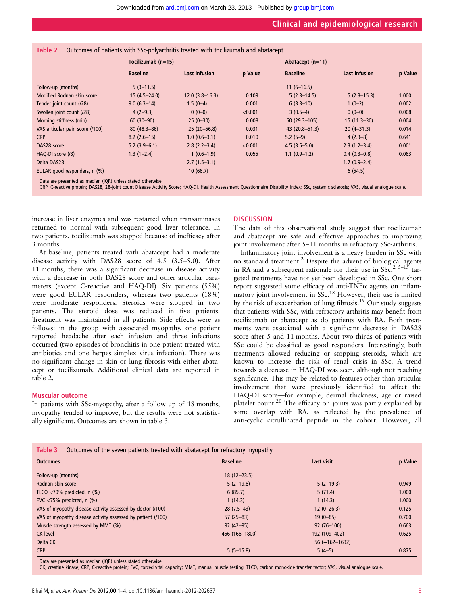|  |  |  |  | Table 2 Outcomes of patients with SSc-polyarthritis treated with tocilizumab and abatacept |  |  |  |  |
|--|--|--|--|--------------------------------------------------------------------------------------------|--|--|--|--|
|--|--|--|--|--------------------------------------------------------------------------------------------|--|--|--|--|

|                                 | Tocilizumab (n=15) |                      |         | Abatacept (n=11) |                      |       |
|---------------------------------|--------------------|----------------------|---------|------------------|----------------------|-------|
|                                 | <b>Baseline</b>    | <b>Last infusion</b> | p Value | <b>Baseline</b>  | <b>Last infusion</b> |       |
| Follow-up (months)              | $5(3-11.5)$        |                      |         | $11(6-16.5)$     |                      |       |
| Modified Rodnan skin score      | $15(4.5 - 24.0)$   | $12.0(3.8-16.3)$     | 0.109   | $5(2.3-14.5)$    | $5(2.3-15.3)$        | 1.000 |
| Tender joint count (/28)        | $9.0(6.3-14)$      | $1.5(0-4)$           | 0.001   | $6(3.3-10)$      | $1(0-2)$             | 0.002 |
| Swollen joint count (/28)       | $4(2-9.3)$         | $0(0-0)$             | < 0.001 | $3(0.5-4)$       | $0(0-0)$             | 0.008 |
| Morning stiffness (min)         | $60(30-90)$        | $25(0-30)$           | 0.008   | $60(29.3-105)$   | $15(11.3-30)$        | 0.004 |
| VAS articular pain score (/100) | $80(48.3 - 86)$    | $25(20-56.8)$        | 0.031   | 43 (20.8-51.3)   | $20(4-31.3)$         | 0.014 |
| <b>CRP</b>                      | $8.2(2.6-15)$      | $1.0(0.6-3.1)$       | 0.010   | $5.2(5-9)$       | $4(2.3-8)$           | 0.641 |
| DAS28 score                     | $5.2(3.9-6.1)$     | $2.8(2.2 - 3.4)$     | < 0.001 | $4.5(3.5-5.0)$   | $2.3(1.2 - 3.4)$     | 0.001 |
| HAQ-DI score (/3)               | $1.3(1-2.4)$       | $1(0.6-1.9)$         | 0.055   | $1.1(0.9-1.2)$   | $0.4(0.3-0.8)$       | 0.063 |
| Delta DAS28                     |                    | $2.7(1.5-3.1)$       |         |                  | $1.7(0.9-2.4)$       |       |
| EULAR good responders, n (%)    |                    | 10(66.7)             |         |                  | 6(54.5)              |       |

Data are presented as median (IQR) unless stated otherwise.

CRP, C-reactive protein; DAS28, 28-joint count Disease Activity Score; HAQ-DI, Health Assessment Questionnaire Disability Index; SSc, systemic sclerosis; VAS, visual analogue scale.

increase in liver enzymes and was restarted when transaminases returned to normal with subsequent good liver tolerance. In two patients, tocilizumab was stopped because of inefficacy after 3 months.

At baseline, patients treated with abatacept had a moderate disease activity with DAS28 score of 4.5 (3.5–5.0). After 11 months, there was a significant decrease in disease activity with a decrease in both DAS28 score and other articular parameters (except C-reactive and HAQ-DI). Six patients (55%) were good EULAR responders, whereas two patients (18%) were moderate responders. Steroids were stopped in two patients. The steroid dose was reduced in five patients. Treatment was maintained in all patients. Side effects were as follows: in the group with associated myopathy, one patient reported headache after each infusion and three infections occurred (two episodes of bronchitis in one patient treated with antibiotics and one herpes simplex virus infection). There was no significant change in skin or lung fibrosis with either abatacept or tocilizumab. Additional clinical data are reported in table 2.

#### Muscular outcome

In patients with SSc-myopathy, after a follow up of 18 months, myopathy tended to improve, but the results were not statistically significant. Outcomes are shown in table 3.

#### **DISCUSSION**

The data of this observational study suggest that tocilizumab and abatacept are safe and effective approaches to improving joint involvement after 5–11 months in refractory SSc-arthritis.

Inflammatory joint involvement is a heavy burden in SSc with no standard treatment.<sup>2</sup> Despite the advent of biological agents in RA and a subsequent rationale for their use in  $SSc<sup>2</sup>,  $5-15$  tar$ geted treatments have not yet been developed in SSc. One short report suggested some efficacy of anti-TNFα agents on inflammatory joint involvement in SSc.<sup>18</sup> However, their use is limited by the risk of exacerbation of lung fibrosis.<sup>19</sup> Our study suggests that patients with SSc, with refractory arthritis may benefit from tocilizumab or abatacept as do patients with RA. Both treatments were associated with a significant decrease in DAS28 score after 5 and 11 months. About two-thirds of patients with SSc could be classified as good responders. Interestingly, both treatments allowed reducing or stopping steroids, which are known to increase the risk of renal crisis in SSc. A trend towards a decrease in HAQ-DI was seen, although not reaching significance. This may be related to features other than articular involvement that were previously identified to affect the HAQ-DI score—for example, dermal thickness, age or raised platelet count.<sup>20</sup> The efficacy on joints was partly explained by some overlap with RA, as reflected by the prevalence of anti-cyclic citrullinated peptide in the cohort. However, all

#### Table 3 Outcomes of the seven patients treated with abatacept for refractory myopathy

| <b>Outcomes</b>                                             | <b>Baseline</b> | Last visit         | p Value |
|-------------------------------------------------------------|-----------------|--------------------|---------|
| Follow-up (months)                                          | $18(12 - 23.5)$ |                    |         |
| Rodnan skin score                                           | $5(2-19.8)$     | $5(2-19.3)$        | 0.949   |
| TLCO $<$ 70% predicted, n $(\%)$                            | 6(85.7)         | 5(71.4)            | 1.000   |
| FVC $<$ 75% predicted, n (%)                                | 1(14.3)         | 1(14.3)            | 1.000   |
| VAS of myopathy disease activity assessed by doctor (/100)  | $28(7.5-43)$    | $12(0-26.3)$       | 0.125   |
| VAS of myopathy disease activity assessed by patient (/100) | $57(25-83)$     | $19(0 - 85)$       | 0.700   |
| Muscle strength assessed by MMT (%)                         | $92(42 - 95)$   | $92(76 - 100)$     | 0.663   |
| CK level                                                    | 456 (166-1800)  | 192 (109-402)      | 0.625   |
| Delta CK                                                    |                 | $56 (-162 - 1632)$ |         |
| <b>CRP</b>                                                  | $5(5-15.8)$     | $5(4-5)$           | 0.875   |

Data are presented as median (IQR) unless stated otherwise.

CK, creatine kinase; CRP, C-reactive protein; FVC, forced vital capacity; MMT, manual muscle testing; TLCO, carbon monoxide transfer factor; VAS, visual analogue scale.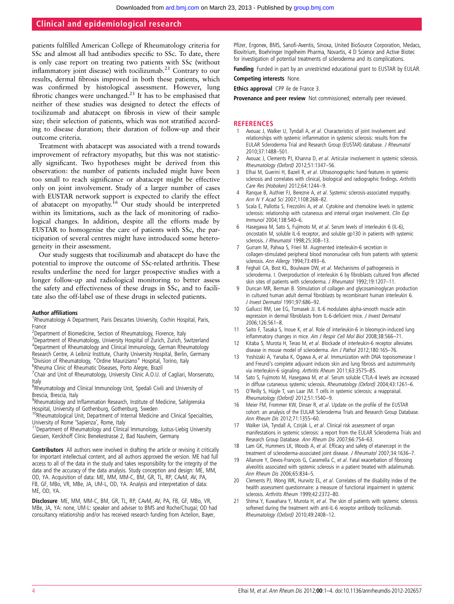## Clinical and epidemiological research

patients fulfilled American College of Rheumatology criteria for SSc and almost all had antibodies specific to SSc. To date, there is only case report on treating two patients with SSc (without inflammatory joint disease) with tocilizumab. $2<sup>1</sup>$  Contrary to our results, dermal fibrosis improved in both these patients, which was confirmed by histological assessment. However, lung fibrotic changes were unchanged.<sup>21</sup> It has to be emphasised that neither of these studies was designed to detect the effects of tocilizumab and abatacept on fibrosis in view of their sample size; their selection of patients, which was not stratified according to disease duration; their duration of follow-up and their outcome criteria.

Treatment with abatacept was associated with a trend towards improvement of refractory myopathy, but this was not statistically significant. Two hypotheses might be derived from this observation: the number of patients included might have been too small to reach significance or abatacept might be effective only on joint involvement. Study of a larger number of cases with EUSTAR network support is expected to clarify the effect of abatacept on myopathy.<sup>16</sup> Our study should be interpreted within its limitations, such as the lack of monitoring of radiological changes. In addition, despite all the efforts made by EUSTAR to homogenise the care of patients with SSc, the participation of several centres might have introduced some heterogeneity in their assessment.

Our study suggests that tocilizumab and abatacept do have the potential to improve the outcome of SSc-related arthritis. These results underline the need for larger prospective studies with a longer follow-up and radiological monitoring to better assess the safety and effectiveness of these drugs in SSc, and to facilitate also the off-label use of these drugs in selected patients.

#### Author affiliations <sup>1</sup>

<sup>1</sup>Rheumatology A Department, Paris Descartes University, Cochin Hospital, Paris, France

<sup>2</sup>Department of Biomedicine, Section of Rheumatology, Florence, Italy <sup>3</sup>Department of Rheumatology, University Hospital of Zurich, Zurich, Switzerland 4 Department of Rheumatology and Clinical Immunology, German Rheumatology Research Centre, A Leibniz Institute, Charity University Hospital, Berlin, Germany <sup>5</sup> Division of Rheumatology, "Ordine Mauriziano" Hospital, Torino, Italy<br><sup>6</sup> Rheuma Clinic of Rheumatic Diseases, Porto Alegre, Brazil <sup>6</sup>Rheuma Clinic of Rheumatic Diseases, Porto Alegre, Brazil

<sup>7</sup>Chair and Unit of Rheumatology, University Clinic A.O.U. of Cagliari, Monserrato, Italy

<sup>8</sup>Rheumatology and Clinical Immunology Unit, Spedali Civili and University of Brescia, Brescia, Italy

<sup>9</sup>Rheumatology and Inflammation Research, Institute of Medicine, Sahlgrenska Hospital, University of Gothenburg, Gothenburg, Sweden

 $10R$ heumatological Unit, Department of Internal Medicine and Clinical Specialities, University of Rome 'Sapienza', Rome, Italy

<sup>11</sup>Department of Rheumatology and Clinical Immunology, Justus-Liebig University Giessen, Kerckhoff Clinic Benekestrasse 2, Bad Nauheim, Germany

Contributors All authors were involved in drafting the article or revising it critically for important intellectual content, and all authors approved the version. ME had full access to all of the data in the study and takes responsibility for the integrity of the data and the accuracy of the data analysis. Study conception and design: ME, MM, OD, YA. Acquisition of data: ME, MM, MM-C, BM, GR, TL, RP, CAvM, AV, PA, FB, GF, MBo, VR, MBe, JA, UM-L, OD, YA. Analysis and interpretation of data: ME, OD, YA.

Disclosure ME, MM, MM-C, BM, GR, TL, RP, CAvM, AV, PA, FB, GF, MBo, VR, MBe, JA, YA: none, UM-L: speaker and adviser to BMS and Roche/Chugai; OD had consultancy relationship and/or has received research funding from Actelion, Bayer,

Pfizer, Ergonex, BMS, Sanofi-Aventis, Sinoxa, United BioSource Corporation, Medacs, Biovitrium, Boehringer Ingelheim Pharma, Novartis, 4 D Science and Active Biotec for investigation of potential treatments of scleroderma and its complications.

**Funding** Funded in part by an unrestricted educational grant to EUSTAR by EULAR.

Competing interests None.

Ethics approval CPP ile de France 3.

Provenance and peer review Not commissioned; externally peer reviewed.

#### REFERENCES

- 1 Avouac J, Walker U, Tyndall A, et al. Characteristics of joint involvement and relationships with systemic inflammation in systemic sclerosis: results from the EULAR Scleroderma Trial and Research Group (EUSTAR) database. J Rheumatol 2010;37:1488–501.
- 2 Avouac J, Clements PJ, Khanna D, et al. Articular involvement in systemic sclerosis. Rheumatology (Oxford) 2012;51:1347–56.
- 3 Elhai M, Guerini H, Bazeli R, et al. Ultrasonographic hand features in systemic sclerosis and correlates with clinical, biological and radiographic findings. Arthritis Care Res (Hoboken) 2012;64:1244–9.
- 4 Ranque B, Authier FJ, Berezne A, et al. Systemic sclerosis-associated myopathy. Ann N Y Acad Sci 2007;1108:268–82.
- 5 Scala E, Pallotta S, Frezzolini A, et al. Cytokine and chemokine levels in systemic sclerosis: relationship with cutaneous and internal organ involvement. Clin Exp Immunol 2004;138:540–6.
- Hasegawa M, Sato S, Fujimoto M, et al. Serum levels of interleukin 6 (IL-6), oncostatin M, soluble IL-6 receptor, and soluble gp130 in patients with systemic sclerosis. J Rheumatol 1998;25:308-13.
- 7 Gurram M, Pahwa S, Frieri M. Augmented interleukin-6 secretion in collagen-stimulated peripheral blood mononuclear cells from patients with systemic sclerosis. Ann Allergy 1994;73:493–6.
- Feghali CA, Bost KL, Boulware DW, et al. Mechanisms of pathogenesis in scleroderma. I. Overproduction of interleukin 6 by fibroblasts cultured from affected skin sites of patients with scleroderma. J Rheumatol 1992;19:1207–11.
- 9 Duncan MR, Berman B. Stimulation of collagen and glycosaminoglycan production in cultured human adult dermal fibroblasts by recombinant human interleukin 6. J Invest Dermatol 1991;97:686–92.
- 10 Gallucci RM, Lee EG, Tomasek JJ. IL-6 modulates alpha-smooth muscle actin expression in dermal fibroblasts from IL-6-deficient mice. J Invest Dermatol 2006;126:561–8.
- 11 Saito F, Tasaka S, Inoue K, et al. Role of interleukin-6 in bleomycin-induced lung inflammatory changes in mice. Am J Respir Cell Mol Biol 2008;38:566–71.
- 12 Kitaba S, Murota H, Terao M, et al. Blockade of interleukin-6 receptor alleviates disease in mouse model of scleroderma. Am J Pathol 2012;180:165–76.
- 13 Yoshizaki A, Yanaba K, Ogawa A, et al. Immunization with DNA topoisomerase I and Freund's complete adjuvant induces skin and lung fibrosis and autoimmunity via interleukin-6 signaling. Arthritis Rheum 2011;63:3575–85.
- 14 Sato S, Fujimoto M, Hasegawa M, et al. Serum soluble CTLA-4 levels are increased in diffuse cutaneous systemic sclerosis. Rheumatology (Oxford) 2004;43:1261–6.
- 15 O'Reilly S, Hügle T, van Laar JM. T cells in systemic sclerosis: a reappraisal. Rheumatology (Oxford) 2012;51:1540–9.
- 16 Meier FM, Frommer KW, Dinser R, et al. Update on the profile of the EUSTAR cohort: an analysis of the EULAR Scleroderma Trials and Research Group Database. Ann Rheum Dis 2012;71:1355–60.
- 17 Walker UA, Tyndall A, Czirják L, et al. Clinical risk assessment of organ manifestations in systemic sclerosis: a report from the EULAR Scleroderma Trials and Research Group Database. Ann Rheum Dis 2007;66:754–63.
- 18 Lam GK, Hummers LK, Woods A, et al. Efficacy and safety of etanercept in the treatment of scleroderma-associated joint disease. J Rheumatol 2007;34:1636–7.
- 19 Allanore Y, Devos-François G, Caramella C, et al. Fatal exacerbation of fibrosing alveolitis associated with systemic sclerosis in a patient treated with adalimumab. Ann Rheum Dis 2006;65:834–5.
- 20 Clements PJ, Wong WK, Hurwitz EL, et al. Correlates of the disability index of the health assessment questionnaire: a measure of functional impairment in systemic sclerosis. Arthritis Rheum 1999;42:2372–80.
- 21 Shima Y, Kuwahara Y, Murota H, et al. The skin of patients with systemic sclerosis softened during the treatment with anti-IL-6 receptor antibody tocilizumab. Rheumatology (Oxford) 2010;49:2408–12.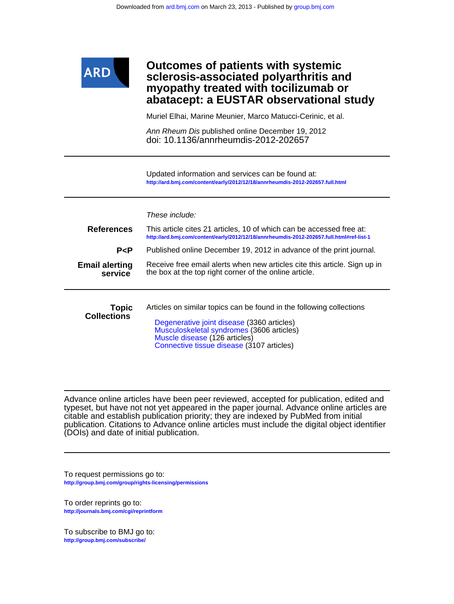

# **abatacept: a EUSTAR observational study myopathy treated with tocilizumab or sclerosis-associated polyarthritis and Outcomes of patients with systemic**

Muriel Elhai, Marine Meunier, Marco Matucci-Cerinic, et al.

doi: 10.1136/annrheumdis-2012-202657 Ann Rheum Dis published online December 19, 2012

**<http://ard.bmj.com/content/early/2012/12/18/annrheumdis-2012-202657.full.html>** Updated information and services can be found at:

|                                    | These include:                                                                                                                                                                                                                                |
|------------------------------------|-----------------------------------------------------------------------------------------------------------------------------------------------------------------------------------------------------------------------------------------------|
| <b>References</b>                  | This article cites 21 articles, 10 of which can be accessed free at:<br>http://ard.bmj.com/content/early/2012/12/18/annrheumdis-2012-202657.full.html#ref-list-1                                                                              |
| P < P                              | Published online December 19, 2012 in advance of the print journal.                                                                                                                                                                           |
| <b>Email alerting</b><br>service   | Receive free email alerts when new articles cite this article. Sign up in<br>the box at the top right corner of the online article.                                                                                                           |
| <b>Topic</b><br><b>Collections</b> | Articles on similar topics can be found in the following collections<br>Degenerative joint disease (3360 articles)<br>Musculoskeletal syndromes (3606 articles)<br>Muscle disease (126 articles)<br>Connective tissue disease (3107 articles) |

(DOIs) and date of initial publication. publication. Citations to Advance online articles must include the digital object identifier citable and establish publication priority; they are indexed by PubMed from initial typeset, but have not not yet appeared in the paper journal. Advance online articles are Advance online articles have been peer reviewed, accepted for publication, edited and

**<http://group.bmj.com/group/rights-licensing/permissions>** To request permissions go to:

**<http://journals.bmj.com/cgi/reprintform>** To order reprints go to:

**<http://group.bmj.com/subscribe/>** To subscribe to BMJ go to: